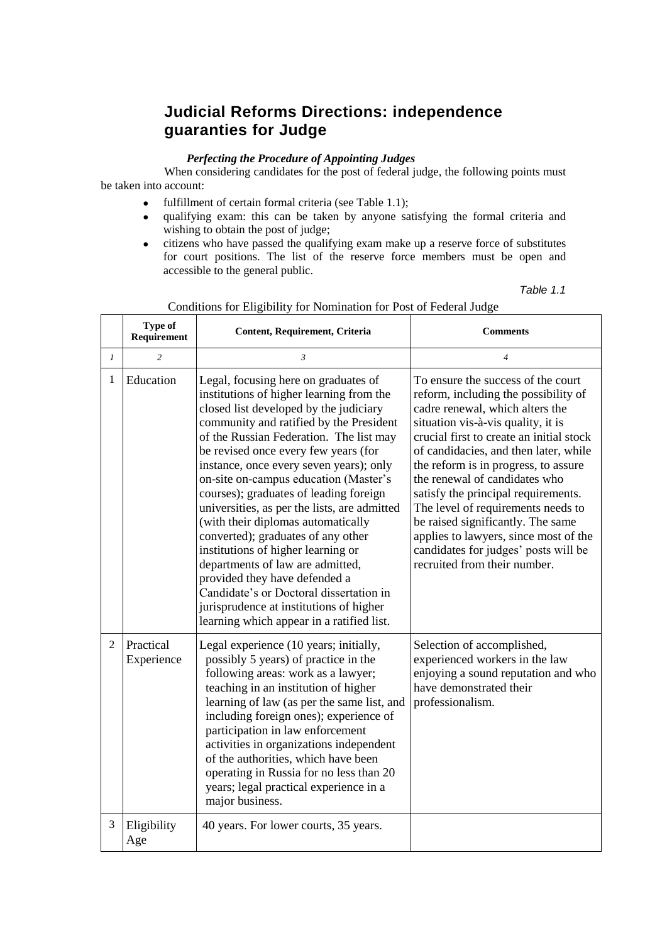## **Judicial Reforms Directions: independence guaranties for Judge**

### *Perfecting the Procedure of Appointing Judges*

When considering candidates for the post of federal judge, the following points must be taken into account:

- fulfillment of certain formal criteria (see Table 1.1);
- qualifying exam: this can be taken by anyone satisfying the formal criteria and wishing to obtain the post of judge;
- citizens who have passed the qualifying exam make up a reserve force of substitutes for court positions. The list of the reserve force members must be open and accessible to the general public.

| Table | - 7 |  |
|-------|-----|--|
|       |     |  |

|                | <b>Type of</b><br>Requirement | Content, Requirement, Criteria                                                                                                                                                                                                                                                                                                                                                                                                                                                                                                                                                                                                                                                                                                                                   | <b>Comments</b>                                                                                                                                                                                                                                                                                                                                                                                                                                                                                                                                      |  |
|----------------|-------------------------------|------------------------------------------------------------------------------------------------------------------------------------------------------------------------------------------------------------------------------------------------------------------------------------------------------------------------------------------------------------------------------------------------------------------------------------------------------------------------------------------------------------------------------------------------------------------------------------------------------------------------------------------------------------------------------------------------------------------------------------------------------------------|------------------------------------------------------------------------------------------------------------------------------------------------------------------------------------------------------------------------------------------------------------------------------------------------------------------------------------------------------------------------------------------------------------------------------------------------------------------------------------------------------------------------------------------------------|--|
| 1              | $\overline{c}$                | 3                                                                                                                                                                                                                                                                                                                                                                                                                                                                                                                                                                                                                                                                                                                                                                | $\overline{4}$                                                                                                                                                                                                                                                                                                                                                                                                                                                                                                                                       |  |
| 1              | Education                     | Legal, focusing here on graduates of<br>institutions of higher learning from the<br>closed list developed by the judiciary<br>community and ratified by the President<br>of the Russian Federation. The list may<br>be revised once every few years (for<br>instance, once every seven years); only<br>on-site on-campus education (Master's<br>courses); graduates of leading foreign<br>universities, as per the lists, are admitted<br>(with their diplomas automatically<br>converted); graduates of any other<br>institutions of higher learning or<br>departments of law are admitted,<br>provided they have defended a<br>Candidate's or Doctoral dissertation in<br>jurisprudence at institutions of higher<br>learning which appear in a ratified list. | To ensure the success of the court<br>reform, including the possibility of<br>cadre renewal, which alters the<br>situation vis-à-vis quality, it is<br>crucial first to create an initial stock<br>of candidacies, and then later, while<br>the reform is in progress, to assure<br>the renewal of candidates who<br>satisfy the principal requirements.<br>The level of requirements needs to<br>be raised significantly. The same<br>applies to lawyers, since most of the<br>candidates for judges' posts will be<br>recruited from their number. |  |
| $\overline{2}$ | Practical<br>Experience       | Legal experience (10 years; initially,<br>possibly 5 years) of practice in the<br>following areas: work as a lawyer;<br>teaching in an institution of higher<br>learning of law (as per the same list, and<br>including foreign ones); experience of<br>participation in law enforcement<br>activities in organizations independent<br>of the authorities, which have been<br>operating in Russia for no less than 20<br>years; legal practical experience in a<br>major business.                                                                                                                                                                                                                                                                               | Selection of accomplished,<br>experienced workers in the law<br>enjoying a sound reputation and who<br>have demonstrated their<br>professionalism.                                                                                                                                                                                                                                                                                                                                                                                                   |  |
| 3              | Eligibility<br>Age            | 40 years. For lower courts, 35 years.                                                                                                                                                                                                                                                                                                                                                                                                                                                                                                                                                                                                                                                                                                                            |                                                                                                                                                                                                                                                                                                                                                                                                                                                                                                                                                      |  |

#### Conditions for Eligibility for Nomination for Post of Federal Judge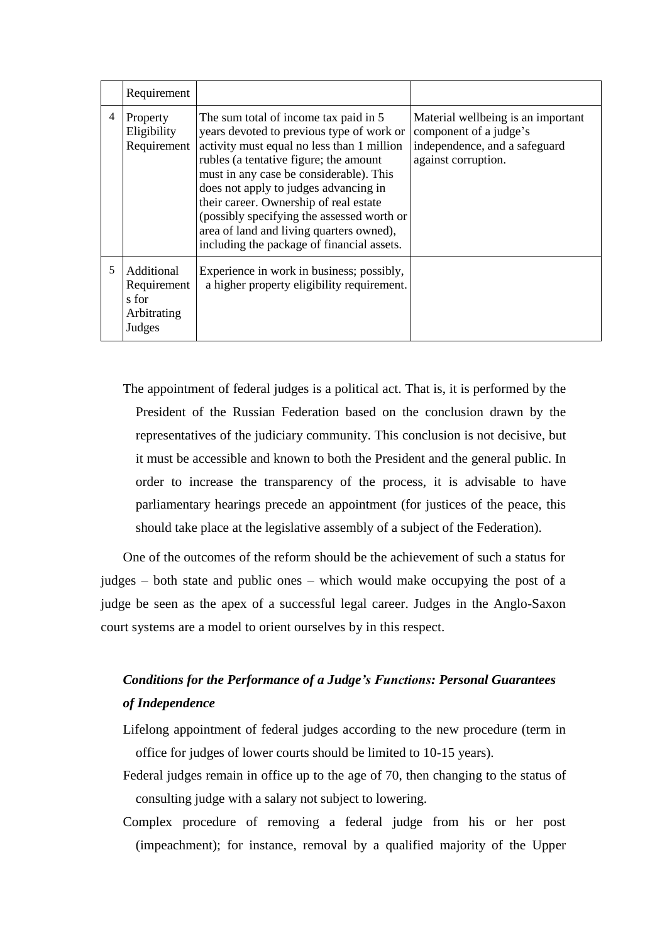|   | Requirement                                                 |                                                                                                                                                                                                                                                                                                                                                                                                                                                  |                                                                                                                      |
|---|-------------------------------------------------------------|--------------------------------------------------------------------------------------------------------------------------------------------------------------------------------------------------------------------------------------------------------------------------------------------------------------------------------------------------------------------------------------------------------------------------------------------------|----------------------------------------------------------------------------------------------------------------------|
| 4 | Property<br>Eligibility<br>Requirement                      | The sum total of income tax paid in 5<br>years devoted to previous type of work or<br>activity must equal no less than 1 million<br>rubles (a tentative figure; the amount<br>must in any case be considerable). This<br>does not apply to judges advancing in<br>their career. Ownership of real estate<br>(possibly specifying the assessed worth or<br>area of land and living quarters owned),<br>including the package of financial assets. | Material wellbeing is an important<br>component of a judge's<br>independence, and a safeguard<br>against corruption. |
| 5 | Additional<br>Requirement<br>s for<br>Arbitrating<br>Judges | Experience in work in business; possibly,<br>a higher property eligibility requirement.                                                                                                                                                                                                                                                                                                                                                          |                                                                                                                      |

The appointment of federal judges is a political act. That is, it is performed by the President of the Russian Federation based on the conclusion drawn by the representatives of the judiciary community. This conclusion is not decisive, but it must be accessible and known to both the President and the general public. In order to increase the transparency of the process, it is advisable to have parliamentary hearings precede an appointment (for justices of the peace, this should take place at the legislative assembly of a subject of the Federation).

One of the outcomes of the reform should be the achievement of such a status for judges – both state and public ones – which would make occupying the post of a judge be seen as the apex of a successful legal career. Judges in the Anglo-Saxon court systems are a model to orient ourselves by in this respect.

# *Conditions for the Performance of a Judge's Functions: Personal Guarantees of Independence*

- Lifelong appointment of federal judges according to the new procedure (term in office for judges of lower courts should be limited to 10-15 years).
- Federal judges remain in office up to the age of 70, then changing to the status of consulting judge with a salary not subject to lowering.
- Complex procedure of removing a federal judge from his or her post (impeachment); for instance, removal by a qualified majority of the Upper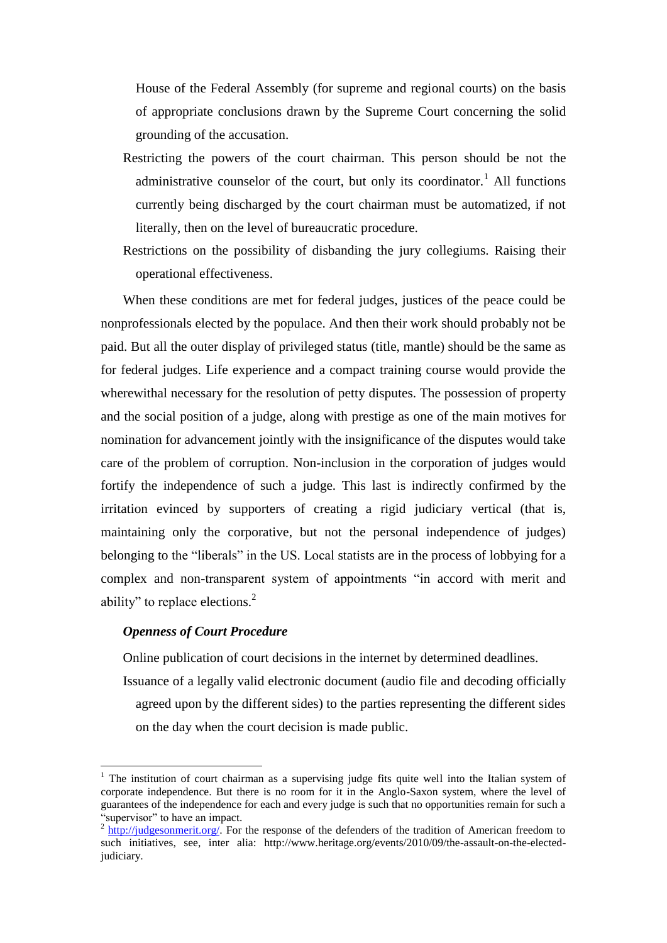House of the Federal Assembly (for supreme and regional courts) on the basis of appropriate conclusions drawn by the Supreme Court concerning the solid grounding of the accusation.

- Restricting the powers of the court chairman. This person should be not the administrative counselor of the court, but only its coordinator.<sup>1</sup> All functions currently being discharged by the court chairman must be automatized, if not literally, then on the level of bureaucratic procedure.
- Restrictions on the possibility of disbanding the jury collegiums. Raising their operational effectiveness.

When these conditions are met for federal judges, justices of the peace could be nonprofessionals elected by the populace. And then their work should probably not be paid. But all the outer display of privileged status (title, mantle) should be the same as for federal judges. Life experience and a compact training course would provide the wherewithal necessary for the resolution of petty disputes. The possession of property and the social position of a judge, along with prestige as one of the main motives for nomination for advancement jointly with the insignificance of the disputes would take care of the problem of corruption. Non-inclusion in the corporation of judges would fortify the independence of such a judge. This last is indirectly confirmed by the irritation evinced by supporters of creating a rigid judiciary vertical (that is, maintaining only the corporative, but not the personal independence of judges) belonging to the "liberals" in the US. Local statists are in the process of lobbying for a complex and non-transparent system of appointments "in accord with merit and ability" to replace elections.<sup>2</sup>

### *Openness of Court Procedure*

1

Online publication of court decisions in the internet by determined deadlines.

Issuance of a legally valid electronic document (audio file and decoding officially agreed upon by the different sides) to the parties representing the different sides on the day when the court decision is made public.

<sup>&</sup>lt;sup>1</sup> The institution of court chairman as a supervising judge fits quite well into the Italian system of corporate independence. But there is no room for it in the Anglo-Saxon system, where the level of guarantees of the independence for each and every judge is such that no opportunities remain for such a "supervisor" to have an impact.

 $2 \frac{http://judgesommerit.org/}{http://judgesommerit.org/}$ . For the response of the defenders of the tradition of American freedom to such initiatives, see, inter alia: http://www.heritage.org/events/2010/09/the-assault-on-the-electedjudiciary.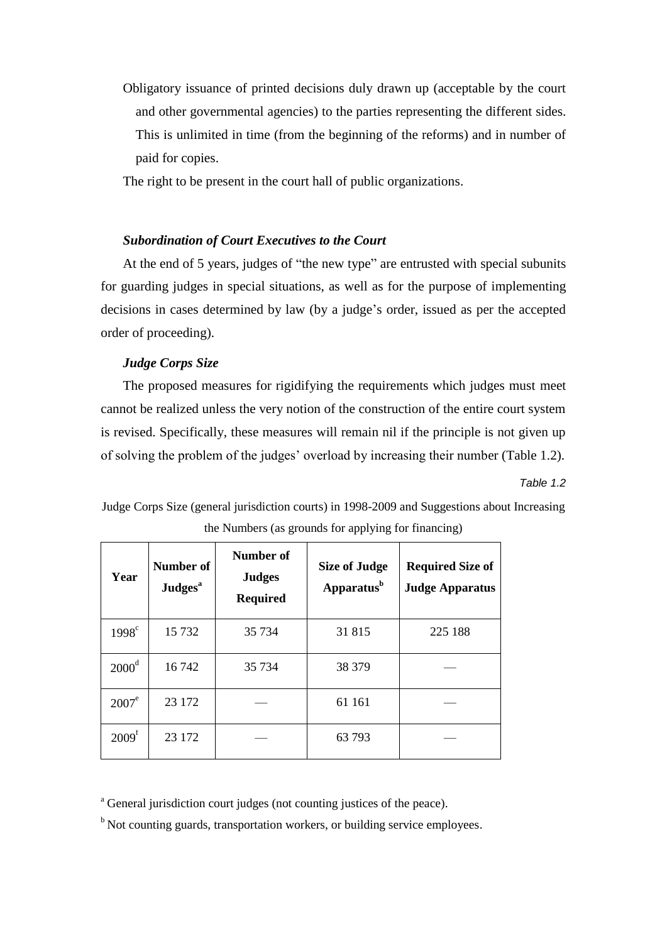Obligatory issuance of printed decisions duly drawn up (acceptable by the court and other governmental agencies) to the parties representing the different sides. This is unlimited in time (from the beginning of the reforms) and in number of paid for copies.

The right to be present in the court hall of public organizations.

## *Subordination of Court Executives to the Court*

At the end of 5 years, judges of "the new type" are entrusted with special subunits for guarding judges in special situations, as well as for the purpose of implementing decisions in cases determined by law (by a judge's order, issued as per the accepted order of proceeding).

## *Judge Corps Size*

The proposed measures for rigidifying the requirements which judges must meet cannot be realized unless the very notion of the construction of the entire court system is revised. Specifically, these measures will remain nil if the principle is not given up of solving the problem of the judges' overload by increasing their number (Table 1.2).

*Table 1.2* 

Judge Corps Size (general jurisdiction courts) in 1998-2009 and Suggestions about Increasing the Numbers (as grounds for applying for financing)

| Year              | Number of<br><b>Judges</b> <sup>a</sup> | Number of<br><b>Judges</b><br><b>Required</b> | <b>Size of Judge</b><br>Apparatus <sup>b</sup> | <b>Required Size of</b><br><b>Judge Apparatus</b> |
|-------------------|-----------------------------------------|-----------------------------------------------|------------------------------------------------|---------------------------------------------------|
| $1998^{\circ}$    | 15 7 32                                 | 35 7 34                                       | 31815                                          | 225 188                                           |
| $2000^{\text{d}}$ | 16742                                   | 35 7 34                                       | 38 379                                         |                                                   |
| $2007^e$          | 23 172                                  |                                               | 61 161                                         |                                                   |
| 2009 <sup>f</sup> | 23 172                                  |                                               | 63793                                          |                                                   |

<sup>a</sup> General jurisdiction court judges (not counting justices of the peace).

 $<sup>b</sup>$  Not counting guards, transportation workers, or building service employees.</sup>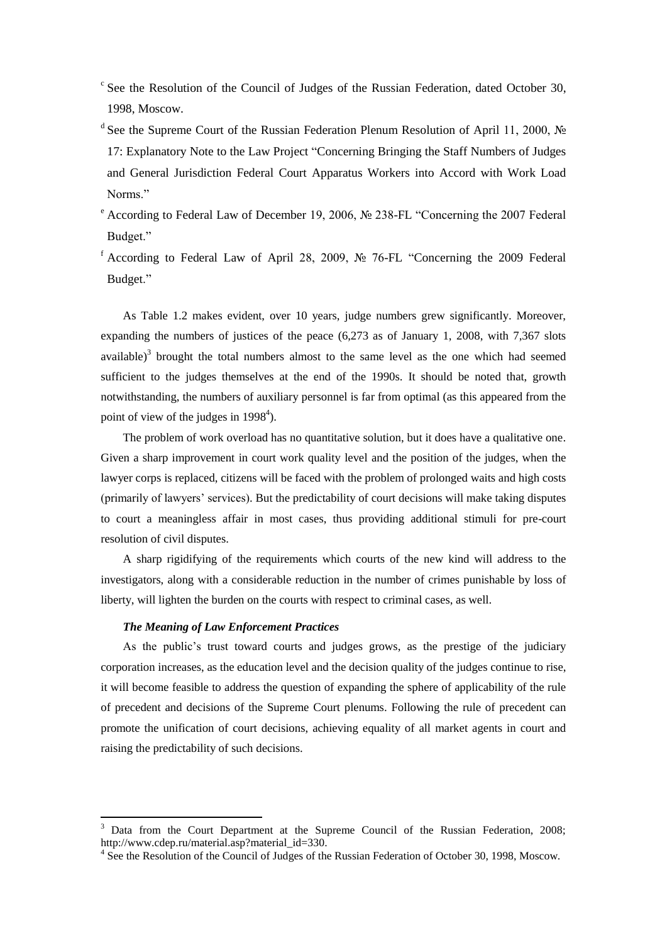- <sup>c</sup> See the Resolution of the Council of Judges of the Russian Federation, dated October 30, 1998, Moscow.
- <sup>d</sup> See the Supreme Court of the Russian Federation Plenum Resolution of April 11, 2000, № 17: Explanatory Note to the Law Project "Concerning Bringing the Staff Numbers of Judges and General Jurisdiction Federal Court Apparatus Workers into Accord with Work Load Norms."
- <sup>e</sup> According to Federal Law of December 19, 2006, № 238-FL "Concerning the 2007 Federal Budget."
- f According to Federal Law of April 28, 2009,  $\mathcal{N}_2$  76-FL "Concerning the 2009 Federal Budget."

As Table 1.2 makes evident, over 10 years, judge numbers grew significantly. Moreover, expanding the numbers of justices of the peace (6,273 as of January 1, 2008, with 7,367 slots available)<sup>3</sup> brought the total numbers almost to the same level as the one which had seemed sufficient to the judges themselves at the end of the 1990s. It should be noted that, growth notwithstanding, the numbers of auxiliary personnel is far from optimal (as this appeared from the point of view of the judges in  $1998<sup>4</sup>$ ).

The problem of work overload has no quantitative solution, but it does have a qualitative one. Given a sharp improvement in court work quality level and the position of the judges, when the lawyer corps is replaced, citizens will be faced with the problem of prolonged waits and high costs (primarily of lawyers' services). But the predictability of court decisions will make taking disputes to court a meaningless affair in most cases, thus providing additional stimuli for pre-court resolution of civil disputes.

A sharp rigidifying of the requirements which courts of the new kind will address to the investigators, along with a considerable reduction in the number of crimes punishable by loss of liberty, will lighten the burden on the courts with respect to criminal cases, as well.

#### *The Meaning of Law Enforcement Practices*

1

As the public's trust toward courts and judges grows, as the prestige of the judiciary corporation increases, as the education level and the decision quality of the judges continue to rise, it will become feasible to address the question of expanding the sphere of applicability of the rule of precedent and decisions of the Supreme Court plenums. Following the rule of precedent can promote the unification of court decisions, achieving equality of all market agents in court and raising the predictability of such decisions.

<sup>3</sup> Data from the Court Department at the Supreme Council of the Russian Federation, 2008; http://www.cdep.ru/material.asp?material\_id=330.

<sup>&</sup>lt;sup>4</sup> See the Resolution of the Council of Judges of the Russian Federation of October 30, 1998, Moscow.